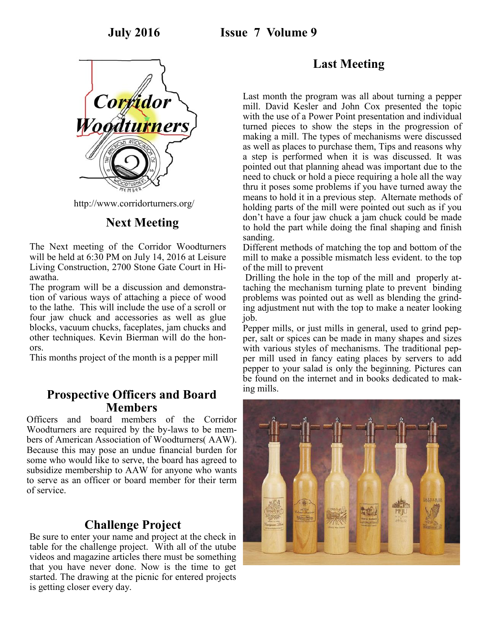

http://www.corridorturners.org/

# **Next Meeting**

The Next meeting of the Corridor Woodturners will be held at 6:30 PM on July 14, 2016 at Leisure Living Construction, 2700 Stone Gate Court in Hiawatha.

The program will be a discussion and demonstration of various ways of attaching a piece of wood to the lathe. This will include the use of a scroll or four jaw chuck and accessories as well as glue blocks, vacuum chucks, faceplates, jam chucks and other techniques. Kevin Bierman will do the honors.

This months project of the month is a pepper mill

## **Prospective Officers and Board Members**

Officers and board members of the Corridor Woodturners are required by the by-laws to be members of American Association of Woodturners( AAW). Because this may pose an undue financial burden for some who would like to serve, the board has agreed to subsidize membership to AAW for anyone who wants to serve as an officer or board member for their term of service.

## **Challenge Project**

Be sure to enter your name and project at the check in table for the challenge project. With all of the utube videos and magazine articles there must be something that you have never done. Now is the time to get started. The drawing at the picnic for entered projects is getting closer every day.

# **Last Meeting**

Last month the program was all about turning a pepper mill. David Kesler and John Cox presented the topic with the use of a Power Point presentation and individual turned pieces to show the steps in the progression of making a mill. The types of mechanisms were discussed as well as places to purchase them, Tips and reasons why a step is performed when it is was discussed. It was pointed out that planning ahead was important due to the need to chuck or hold a piece requiring a hole all the way thru it poses some problems if you have turned away the means to hold it in a previous step. Alternate methods of holding parts of the mill were pointed out such as if you don't have a four jaw chuck a jam chuck could be made to hold the part while doing the final shaping and finish sanding.

Different methods of matching the top and bottom of the mill to make a possible mismatch less evident. to the top of the mill to prevent

Drilling the hole in the top of the mill and properly attaching the mechanism turning plate to prevent binding problems was pointed out as well as blending the grinding adjustment nut with the top to make a neater looking job.

Pepper mills, or just mills in general, used to grind pepper, salt or spices can be made in many shapes and sizes with various styles of mechanisms. The traditional pepper mill used in fancy eating places by servers to add pepper to your salad is only the beginning. Pictures can be found on the internet and in books dedicated to making mills.

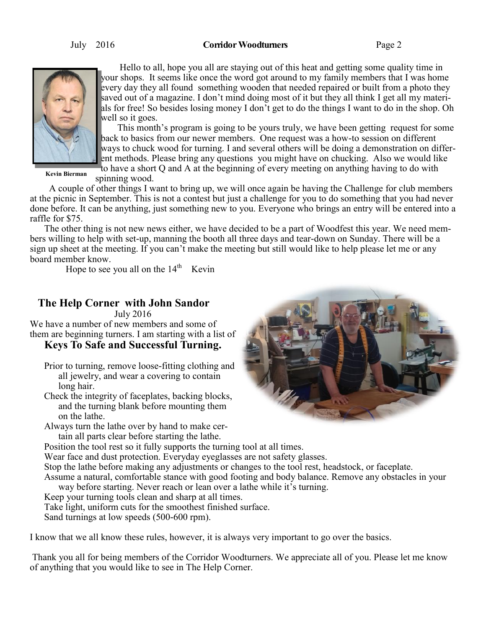#### July 2016 **Corridor Woodturners** Page 2



 Hello to all, hope you all are staying out of this heat and getting some quality time in your shops. It seems like once the word got around to my family members that I was home every day they all found something wooden that needed repaired or built from a photo they saved out of a magazine. I don't mind doing most of it but they all think I get all my materials for free! So besides losing money I don't get to do the things I want to do in the shop. Oh well so it goes.

 This month's program is going to be yours truly, we have been getting request for some back to basics from our newer members. One request was a how-to session on different ways to chuck wood for turning. I and several others will be doing a demonstration on different methods. Please bring any questions you might have on chucking. Also we would like to have a short Q and A at the beginning of every meeting on anything having to do with

**Kevin Bierman**

spinning wood. A couple of other things I want to bring up, we will once again be having the Challenge for club members at the picnic in September. This is not a contest but just a challenge for you to do something that you had never done before. It can be anything, just something new to you. Everyone who brings an entry will be entered into a raffle for \$75.

 The other thing is not new news either, we have decided to be a part of Woodfest this year. We need members willing to help with set-up, manning the booth all three days and tear-down on Sunday. There will be a sign up sheet at the meeting. If you can't make the meeting but still would like to help please let me or any board member know.

Hope to see you all on the  $14<sup>th</sup>$  Kevin

## **The Help Corner with John Sandor**

July 2016

We have a number of new members and some of them are beginning turners. I am starting with a list of

### **Keys To Safe and Successful Turning.**

Prior to turning, remove loose-fitting clothing and all jewelry, and wear a covering to contain long hair.

Check the integrity of faceplates, backing blocks, and the turning blank before mounting them on the lathe.

Always turn the lathe over by hand to make certain all parts clear before starting the lathe.

Position the tool rest so it fully supports the turning tool at all times.

Wear face and dust protection. Everyday eyeglasses are not safety glasses.

Stop the lathe before making any adjustments or changes to the tool rest, headstock, or faceplate.

Assume a natural, comfortable stance with good footing and body balance. Remove any obstacles in your way before starting. Never reach or lean over a lathe while it's turning.

Keep your turning tools clean and sharp at all times.

Take light, uniform cuts for the smoothest finished surface.

Sand turnings at low speeds (500-600 rpm).

I know that we all know these rules, however, it is always very important to go over the basics.

Thank you all for being members of the Corridor Woodturners. We appreciate all of you. Please let me know of anything that you would like to see in The Help Corner.

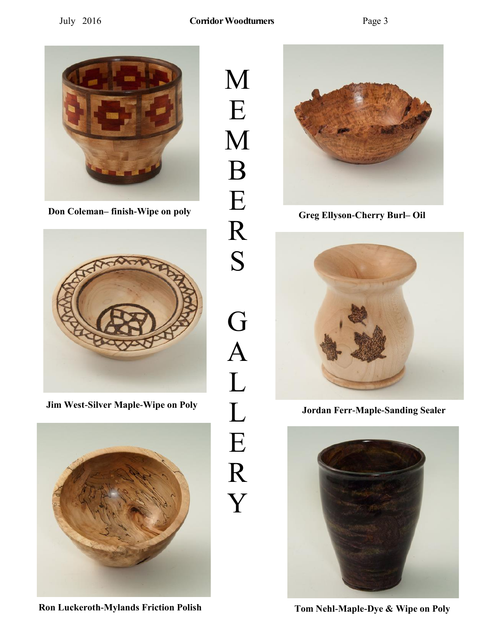

**Don Coleman–** finish-Wipe on poly<br> **Greg Ellyson-Cherry Burl–** Oil



**Jim West-Silver Maple-Wipe on Poly Jordan Ferr-Maple-Sanding Sealer**



**Ron Luckeroth-Mylands Friction Polish Tom Nehl-Maple-Dye & Wipe on Poly**

M E M B E R S G A L L E R Y





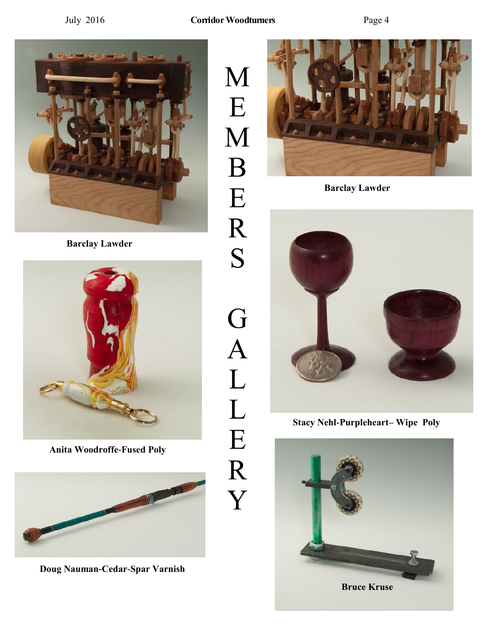M

E

M

B

E

R

S

G

A

L

L

E

R

Y



**Barclay Lawder**



**Anita Woodroffe-Fused Poly** 



**Doug Nauman-Cedar-Spar Varnish**



**Barclay Lawder**



**Stacy Nehl-Purpleheart– Wipe Poly**

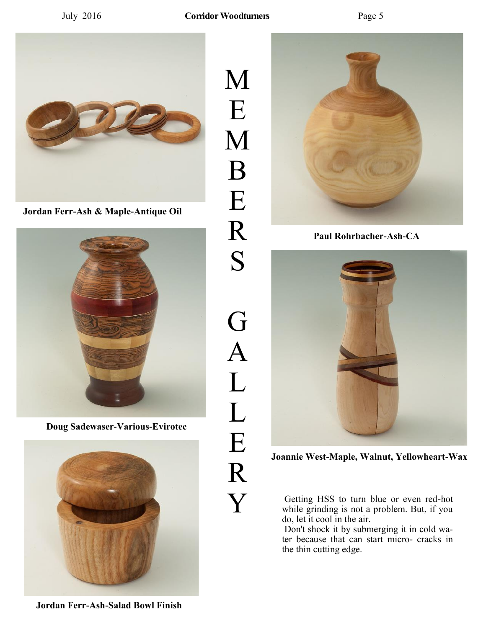

**Jordan Ferr-Ash & Maple-Antique Oil**



**Doug Sadewaser-Various-Evirotec**



M E M B E R S G A L L E R Y



**Paul Rohrbacher-Ash-CA**



**Joannie West-Maple, Walnut, Yellowheart-Wax**

Getting HSS to turn blue or even red-hot while grinding is not a problem. But, if you do, let it cool in the air.

Don't shock it by submerging it in cold water because that can start micro- cracks in the thin cutting edge.

**Jordan Ferr-Ash-Salad Bowl Finish**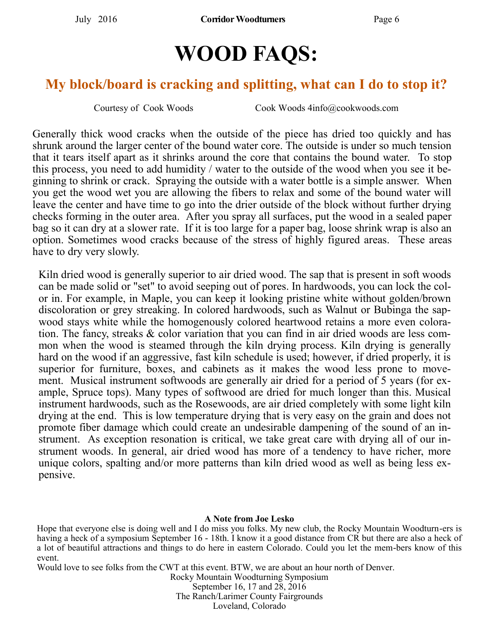# **WOOD FAQS:**

# **My block/board is cracking and splitting, what can I do to stop it?**

Courtesy of Cook Woods Cook Woods 4info@cookwoods.com

Generally thick wood cracks when the outside of the piece has dried too quickly and has shrunk around the larger center of the bound water core. The outside is under so much tension that it tears itself apart as it shrinks around the core that contains the bound water. To stop this process, you need to add humidity / water to the outside of the wood when you see it beginning to shrink or crack. Spraying the outside with a water bottle is a simple answer. When you get the wood wet you are allowing the fibers to relax and some of the bound water will leave the center and have time to go into the drier outside of the block without further drying checks forming in the outer area. After you spray all surfaces, put the wood in a sealed paper bag so it can dry at a slower rate. If it is too large for a paper bag, loose shrink wrap is also an option. Sometimes wood cracks because of the stress of highly figured areas. These areas have to dry very slowly.

Kiln dried wood is generally superior to air dried wood. The sap that is present in soft woods can be made solid or "set" to avoid seeping out of pores. In hardwoods, you can lock the color in. For example, in Maple, you can keep it looking pristine white without golden/brown discoloration or grey streaking. In colored hardwoods, such as Walnut or Bubinga the sapwood stays white while the homogenously colored heartwood retains a more even coloration. The fancy, streaks & color variation that you can find in air dried woods are less common when the wood is steamed through the kiln drying process. Kiln drying is generally hard on the wood if an aggressive, fast kiln schedule is used; however, if dried properly, it is superior for furniture, boxes, and cabinets as it makes the wood less prone to movement. Musical instrument softwoods are generally air dried for a period of  $5$  years (for example, Spruce tops). Many types of softwood are dried for much longer than this. Musical instrument hardwoods, such as the Rosewoods, are air dried completely with some light kiln drying at the end. This is low temperature drying that is very easy on the grain and does not promote fiber damage which could create an undesirable dampening of the sound of an instrument. As exception resonation is critical, we take great care with drying all of our instrument woods. In general, air dried wood has more of a tendency to have richer, more unique colors, spalting and/or more patterns than kiln dried wood as well as being less expensive.

#### **A Note from Joe Lesko**

Hope that everyone else is doing well and I do miss you folks. My new club, the Rocky Mountain Woodturn-ers is having a heck of a symposium September 16 - 18th. I know it a good distance from CR but there are also a heck of a lot of beautiful attractions and things to do here in eastern Colorado. Could you let the mem-bers know of this event.

Would love to see folks from the CWT at this event. BTW, we are about an hour north of Denver.

Rocky Mountain Woodturning Symposium September 16, 17 and 28, 2016 The Ranch/Larimer County Fairgrounds Loveland, Colorado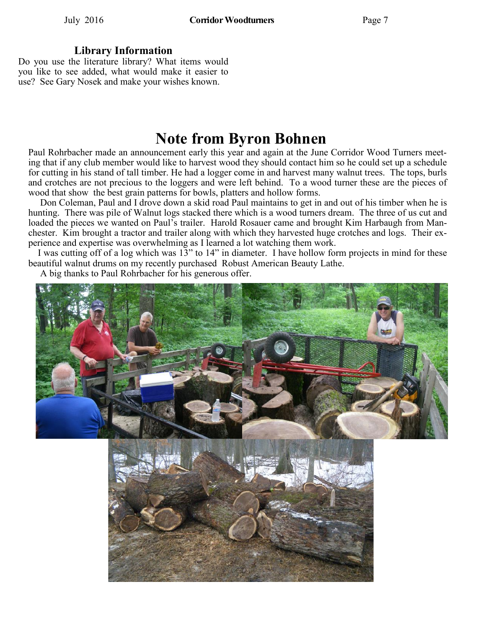#### **Library Information**

Do you use the literature library? What items would you like to see added, what would make it easier to use? See Gary Nosek and make your wishes known.

# **Note from Byron Bohnen**

Paul Rohrbacher made an announcement early this year and again at the June Corridor Wood Turners meeting that if any club member would like to harvest wood they should contact him so he could set up a schedule for cutting in his stand of tall timber. He had a logger come in and harvest many walnut trees. The tops, burls and crotches are not precious to the loggers and were left behind. To a wood turner these are the pieces of wood that show the best grain patterns for bowls, platters and hollow forms.

 Don Coleman, Paul and I drove down a skid road Paul maintains to get in and out of his timber when he is hunting. There was pile of Walnut logs stacked there which is a wood turners dream. The three of us cut and loaded the pieces we wanted on Paul's trailer. Harold Rosauer came and brought Kim Harbaugh from Manchester. Kim brought a tractor and trailer along with which they harvested huge crotches and logs. Their experience and expertise was overwhelming as I learned a lot watching them work.

 I was cutting off of a log which was 13" to 14" in diameter. I have hollow form projects in mind for these beautiful walnut drums on my recently purchased Robust American Beauty Lathe.

A big thanks to Paul Rohrbacher for his generous offer.